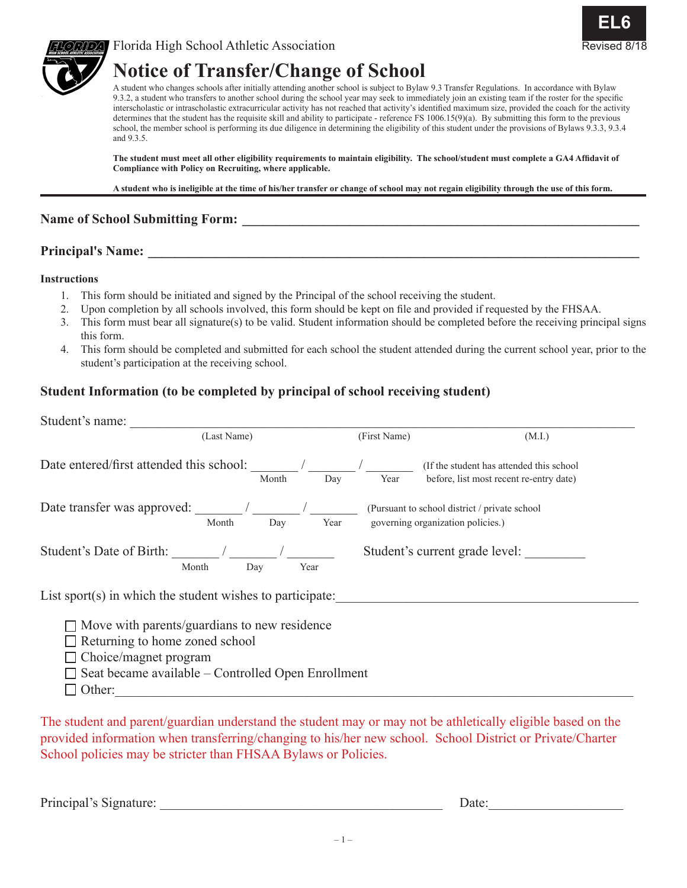





# **Notice of Transfer/Change of School**

A student who changes schools after initially attending another school is subject to Bylaw 9.3 Transfer Regulations. In accordance with Bylaw 9.3.2, a student who transfers to another school during the school year may seek to immediately join an existing team if the roster for the specific interscholastic or intrascholastic extracurricular activity has not reached that activity's identified maximum size, provided the coach for the activity determines that the student has the requisite skill and ability to participate - reference FS 1006.15(9)(a). By submitting this form to the previous school, the member school is performing its due diligence in determining the eligibility of this student under the provisions of Bylaws 9.3.3, 9.3.4 and 9.3.5.

**The student must meet all other eligibility requirements to maintain eligibility. The school/student must complete a GA4 Affidavit of Compliance with Policy on Recruiting, where applicable.**

**A student who is ineligible at the time of his/her transfer or change of school may not regain eligibility through the use of this form.**

#### Name of School Submitting Form:

## **Principal's Name: \_\_\_\_\_\_\_\_\_\_\_\_\_\_\_\_\_\_\_\_\_\_\_\_\_\_\_\_\_\_\_\_\_\_\_\_\_\_\_\_\_\_\_\_\_\_\_\_\_\_\_\_\_\_\_\_\_\_\_\_\_\_\_\_\_\_\_\_\_\_\_\_\_**

#### **Instructions**

- 1. This form should be initiated and signed by the Principal of the school receiving the student.
- 2. Upon completion by all schools involved, this form should be kept on file and provided if requested by the FHSAA.
- 3. This form must bear all signature(s) to be valid. Student information should be completed before the receiving principal signs this form.
- 4. This form should be completed and submitted for each school the student attended during the current school year, prior to the student's participation at the receiving school.

## **Student Information (to be completed by principal of school receiving student)**

| Student's name:                                                                                                                                                                              |              |                                                                                     |  |  |
|----------------------------------------------------------------------------------------------------------------------------------------------------------------------------------------------|--------------|-------------------------------------------------------------------------------------|--|--|
| (Last Name)                                                                                                                                                                                  | (First Name) | (M.I.)                                                                              |  |  |
| Date entered/first attended this school:<br>Month                                                                                                                                            | Day<br>Year  | (If the student has attended this school<br>before, list most recent re-entry date) |  |  |
| Month<br>Day                                                                                                                                                                                 | Year         | (Pursuant to school district / private school<br>governing organization policies.)  |  |  |
| Student's Date of Birth:<br>Month<br>Day                                                                                                                                                     | Year         | Student's current grade level:                                                      |  |  |
| List sport(s) in which the student wishes to participate:                                                                                                                                    |              |                                                                                     |  |  |
| $\Box$ Move with parents/guardians to new residence<br>Returning to home zoned school<br>$\Box$ Choice/magnet program<br>$\Box$ Seat became available – Controlled Open Enrollment<br>Other: |              |                                                                                     |  |  |

The student and parent/guardian understand the student may or may not be athletically eligible based on the provided information when transferring/changing to his/her new school. School District or Private/Charter School policies may be stricter than FHSAA Bylaws or Policies.

Principal's Signature: \_\_\_\_\_\_\_\_\_\_\_\_\_\_\_\_\_\_\_\_\_\_\_\_\_\_\_\_\_\_\_\_\_\_\_\_\_\_\_\_\_\_ Date:\_\_\_\_\_\_\_\_\_\_\_\_\_\_\_\_\_\_\_\_